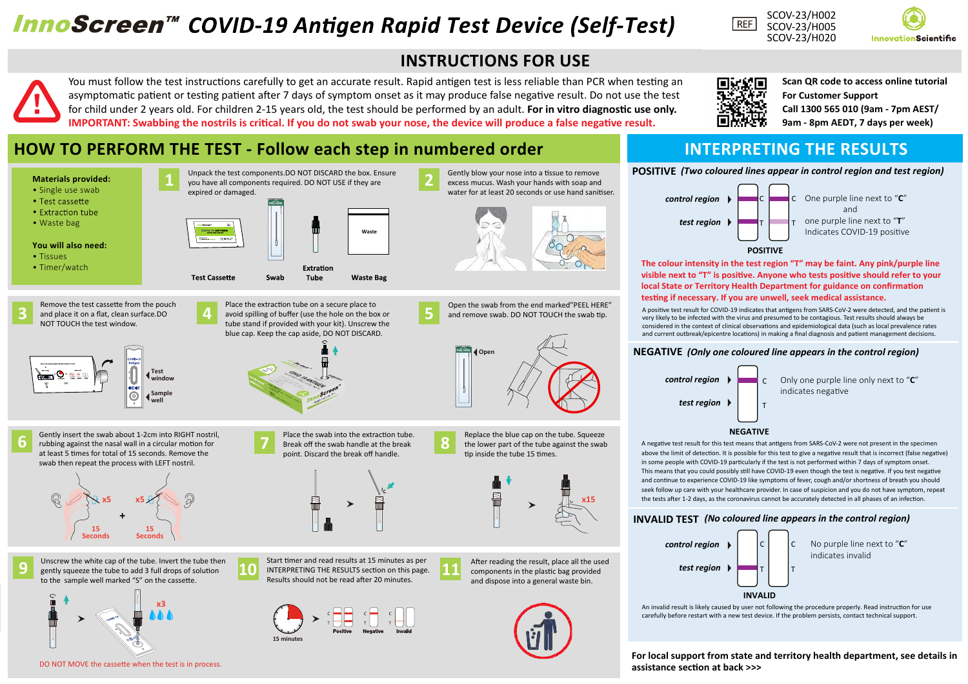# **InnoScreen™ COVID-19 Antigen Rapid Test Device (Self-Test)**



Gently blow your nose into a tissue to remove excess mucus. Wash your hands with soap and water for at least 20 seconds or use hand sanitiser.

Open the swab from the end marked"PEEL HERE" and remove swab. DO NOT TOUCH the swab tip.

**PEEL OFF**

**2**

**5**

**PEELHERE**

**8**

**Open** 

You must follow the test instructions carefully to get an accurate result. Rapid antigen test is less reliable than PCR when testing an asymptomatic patient or testing patient after 7 days of symptom onset as it may produce false negative result. Do not use the test for child under 2 years old. For children 2-15 years old, the test should be performed by an adult. **For in vitro diagnostic use only. IMPORTANT:** Swabbing the nostrils is critical. If you do not swab your nose, the device will produce a false negative result.

 **Waste**

**Waste Bag** 





**Scan QR code to access online tutorial**

**Call 1300 565 010 (9am - 7pm AEST/ 9am - 8pm AEDT, 7 days per week)**

**For Customer Support** 

**POSITIVE** *(Two coloured lines appear in control region and test region)*



**The colour intensity in the test region "T" may be faint. Any pink/purple line**  visible next to "T" is positive. Anyone who tests positive should refer to your **local State or Territory Health Department for guidance on confirmation** testing if necessary. If you are unwell, seek medical assistance.

A positive test result for COVID-19 indicates that antigens from SARS-CoV-2 were detected, and the patient is very likely to be infected with the virus and presumed to be contagious. Test results should always be considered in the context of clinical observations and epidemiological data (such as local prevalence rates and current outbreak/epicentre locations) in making a final diagnosis and patient management decisions.

#### **NEGATIVE** *(Only one coloured line appears in the control region)*



#### **NEGATIVE**

A negative test result for this test means that antigens from SARS-CoV-2 were not present in the specimen above the limit of detection. It is possible for this test to give a negative result that is incorrect (false negative) in some people with COVID-19 particularly if the test is not performed within 7 days of symptom onset. This means that you could possibly still have COVID-19 even though the test is negative. If you test negative and continue to experience COVID-19 like symptoms of fever, cough and/or shortness of breath you should seek follow up care with your healthcare provider. In case of suspicion and you do not have symptom, repeat the tests after 1-2 days, as the coronavirus cannot be accurately detected in all phases of an infection.

### **INVALID TEST** *(No coloured line appears in the control region)*



An invalid result is likely caused by user not following the procedure properly. Read instruction for use carefully before restart with a new test device. If the problem persists, contact technical support.

**For local support from state and territory health department, see details in assistance sec�on at back >>>**

## **HOW TO PERFORM THE TEST - Follow each step in numbered order INTERPRETING THE RESULTS**

**PEEL OFF PEELHERE**

Swab

Unpack the test components.DO NOT DISCARD the box. Ensure you have all components required. DO NOT USE if they are









#### **You will also need:**

- Tissues
- Timer/watch



**1**

expired or damaged.





Gently insert the swab about 1-2cm into RIGHT nostril, rubbing against the nasal wall in a circular mo�on for **6 7** at least 5 times for total of 15 seconds. Remove the swab then repeat the process with LEFT nostril.



Unscrew the white cap of the tube. Invert the tube then gently squeeze the tube to add 3 full drops of solu�on **9 10 11** to the sample well marked "S" on the cassette.



DO NOT MOVE the cassette when the test is in process.



Place the extraction tube on a secure place to

Extration

Tube



Place the swab into the extraction tube. Break off the swab handle at the break point. Discard the break off handle.



Start timer and read results at 15 minutes as per INTERPRETING THE RESULTS section on this page. Results should not be read a�er 20 minutes.



After reading the result, place all the used components in the plastic bag provided and dispose into a general waste bin.

Replace the blue cap on the tube. Squeeze the lower part of the tube against the swab

tip inside the tube 15 times.

**Expertise** 

**x15**